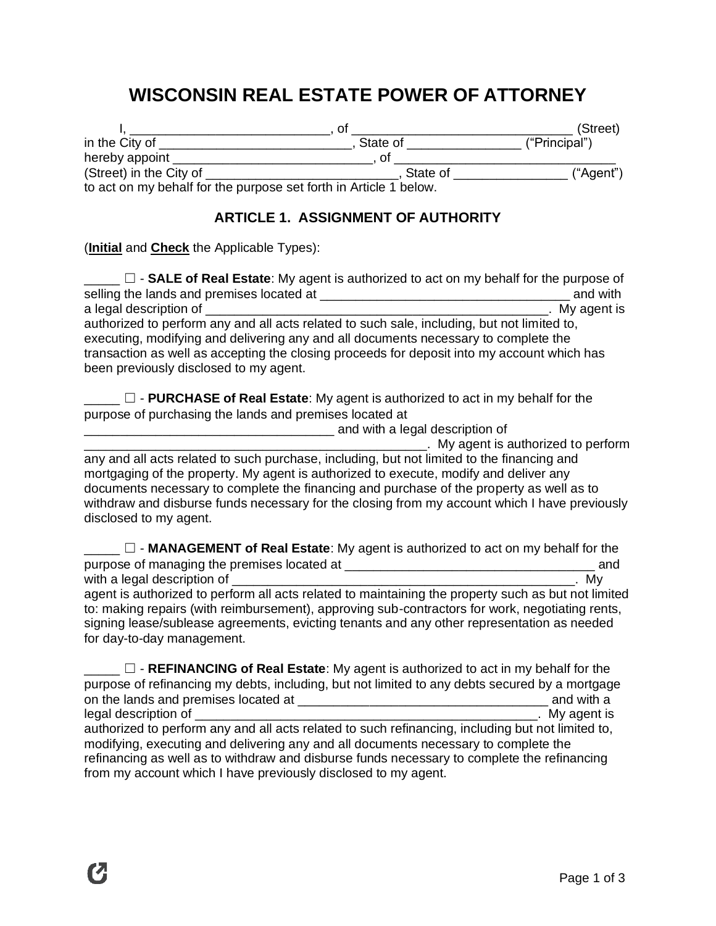# **WISCONSIN REAL ESTATE POWER OF ATTORNEY**

|                                                                   |          | (Street)      |
|-------------------------------------------------------------------|----------|---------------|
| in the City of                                                    | State of | ("Principal") |
| hereby appoint                                                    |          |               |
| (Street) in the City of                                           | State of | ("Agent")     |
| to act on my behalf for the purpose set forth in Article 1 below. |          |               |

# **ARTICLE 1. ASSIGNMENT OF AUTHORITY**

(**Initial** and **Check** the Applicable Types):

| $\Box$ - SALE of Real Estate: My agent is authorized to act on my behalf for the purpose of                                           |             |
|---------------------------------------------------------------------------------------------------------------------------------------|-------------|
| selling the lands and premises located at                                                                                             | and with    |
| a legal description of                                                                                                                | My agent is |
| authorized to perform any and all acts related to such sale, including, but not limited to,                                           |             |
| executing, modifying and delivering any and all documents necessary to complete the                                                   |             |
| transaction as well as accepting the closing proceeds for deposit into my account which has<br>been previously disclosed to my agent. |             |

\_\_\_\_\_ ☐ - **PURCHASE of Real Estate**: My agent is authorized to act in my behalf for the purpose of purchasing the lands and premises located at

**EXECUTE:** and with a legal description of

\_\_\_\_\_\_\_\_\_\_\_\_\_\_\_\_\_\_\_\_\_\_\_\_\_\_\_\_\_\_\_\_\_\_\_\_\_\_\_\_\_\_\_\_\_\_\_\_. My agent is authorized to perform any and all acts related to such purchase, including, but not limited to the financing and mortgaging of the property. My agent is authorized to execute, modify and deliver any documents necessary to complete the financing and purchase of the property as well as to withdraw and disburse funds necessary for the closing from my account which I have previously disclosed to my agent.

□ - **MANAGEMENT of Real Estate**: My agent is authorized to act on my behalf for the purpose of managing the premises located at \_\_\_\_\_\_\_\_\_\_\_\_\_\_\_\_\_\_\_\_\_\_\_\_\_\_\_\_\_\_\_\_\_\_\_ and with a legal description of  $\overline{\phantom{a}}$ agent is authorized to perform all acts related to maintaining the property such as but not limited to: making repairs (with reimbursement), approving sub-contractors for work, negotiating rents, signing lease/sublease agreements, evicting tenants and any other representation as needed for day-to-day management.

\_\_\_\_\_ ☐ - **REFINANCING of Real Estate**: My agent is authorized to act in my behalf for the purpose of refinancing my debts, including, but not limited to any debts secured by a mortgage on the lands and premises located at \_\_\_\_\_\_\_\_\_\_\_\_\_\_\_\_\_\_\_\_\_\_\_\_\_\_\_\_\_\_\_\_\_\_\_ and with a legal description of \_\_\_\_\_\_\_\_\_\_\_\_\_\_\_\_\_\_\_\_\_\_\_\_\_\_\_\_\_\_\_\_\_\_\_\_\_\_\_\_\_\_\_\_\_\_\_\_. My agent is authorized to perform any and all acts related to such refinancing, including but not limited to, modifying, executing and delivering any and all documents necessary to complete the refinancing as well as to withdraw and disburse funds necessary to complete the refinancing from my account which I have previously disclosed to my agent.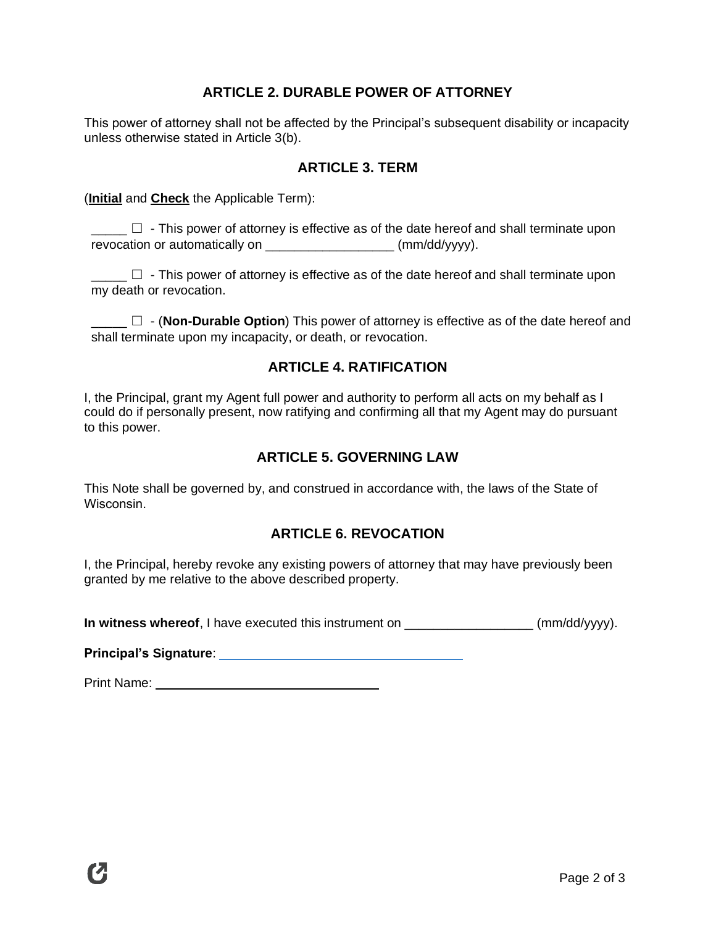# **ARTICLE 2. DURABLE POWER OF ATTORNEY**

This power of attorney shall not be affected by the Principal's subsequent disability or incapacity unless otherwise stated in Article 3(b).

## **ARTICLE 3. TERM**

(**Initial** and **Check** the Applicable Term):

 $\Box$   $\Box$  - This power of attorney is effective as of the date hereof and shall terminate upon revocation or automatically on \_\_\_\_\_\_\_\_\_\_\_\_\_\_\_\_\_\_ (mm/dd/yyyy).

 $\Box$  - This power of attorney is effective as of the date hereof and shall terminate upon my death or revocation.

\_\_\_\_\_ ☐ - (**Non-Durable Option**) This power of attorney is effective as of the date hereof and shall terminate upon my incapacity, or death, or revocation.

## **ARTICLE 4. RATIFICATION**

I, the Principal, grant my Agent full power and authority to perform all acts on my behalf as I could do if personally present, now ratifying and confirming all that my Agent may do pursuant to this power.

## **ARTICLE 5. GOVERNING LAW**

This Note shall be governed by, and construed in accordance with, the laws of the State of Wisconsin.

# **ARTICLE 6. REVOCATION**

I, the Principal, hereby revoke any existing powers of attorney that may have previously been granted by me relative to the above described property.

**In witness whereof**, I have executed this instrument on \_\_\_\_\_\_\_\_\_\_\_\_\_\_\_\_\_\_ (mm/dd/yyyy).

**Principal's Signature**:

Print Name: